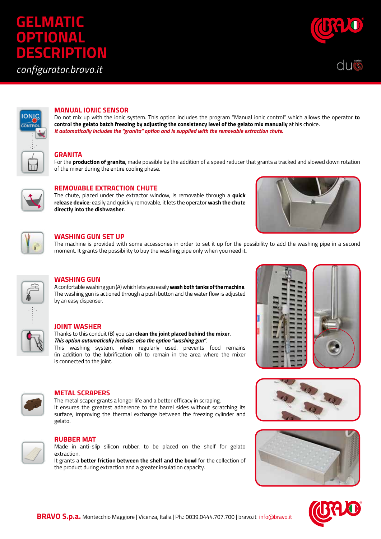# **GELMATIC OPTIONAL DESCRIPTION**

*configurator.bravo.it*







# **MANUAL IONIC SENSOR**

Do not mix up with the ionic system. This option includes the program "Manual ionic control" which allows the operator **to control the gelato batch freezing by adjusting the consistency level of the gelato mix manually** at his choice. *It automatically includes the "granita" option and is supplied with the removable extraction chute.* 

## **GRANITA**

For the **production of granita**, made possible by the addition of a speed reducer that grants a tracked and slowed down rotation of the mixer during the entire cooling phase.



# **REMOVABLE EXTRACTION CHUTE**

The chute, placed under the extractor window, is removable through a **quick release device**; easily and quickly removable, it lets the operator **wash the chute directly into the dishwasher**.





# **WASHING GUN SET UP**

The machine is provided with some accessories in order to set it up for the possibility to add the washing pipe in a second moment. It grants the possibility to buy the washing pipe only when you need it.

| 杰 |
|---|
|   |
|   |

# **WASHING GUN**

A confortable washing gun (A) which lets you easily **wash both tanks of the machine**. The washing gun is actioned through a push button and the water flow is adjusted by an easy dispenser.

## **JOINT WASHER**

Thanks to this conduit (B) you can **clean the joint placed behind the mixer**. *This option automatically includes also the option "washing gun"*.

This washing system, when regularly used, prevents food remains (in addition to the lubrification oil) to remain in the area where the mixer is connected to the joint.



## **METAL SCRAPERS**

The metal scaper grants a longer life and a better efficacy in scraping. It ensures the greatest adherence to the barrel sides without scratching its surface, improving the thermal exchange between the freezing cylinder and gelato.



#### **RUBBER MAT**

Made in anti-slip silicon rubber, to be placed on the shelf for gelato extraction.

It grants a **better friction between the shelf and the bowl** for the collection of the product during extraction and a greater insulation capacity.